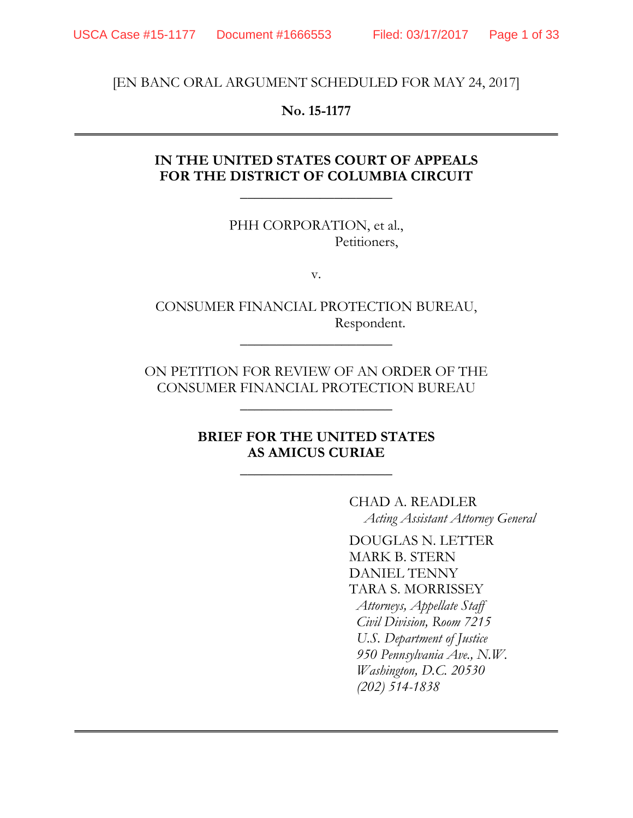[EN BANC ORAL ARGUMENT SCHEDULED FOR MAY 24, 2017]

### **No. 15-1177**

## **IN THE UNITED STATES COURT OF APPEALS FOR THE DISTRICT OF COLUMBIA CIRCUIT**

\_\_\_\_\_\_\_\_\_\_\_\_\_\_\_\_\_\_\_\_\_

PHH CORPORATION, et al., Petitioners,

v.

CONSUMER FINANCIAL PROTECTION BUREAU, Respondent.

\_\_\_\_\_\_\_\_\_\_\_\_\_\_\_\_\_\_\_\_\_

ON PETITION FOR REVIEW OF AN ORDER OF THE CONSUMER FINANCIAL PROTECTION BUREAU

\_\_\_\_\_\_\_\_\_\_\_\_\_\_\_\_\_\_\_\_\_

### **BRIEF FOR THE UNITED STATES AS AMICUS CURIAE**

\_\_\_\_\_\_\_\_\_\_\_\_\_\_\_\_\_\_\_\_\_

CHAD A. READLER *Acting Assistant Attorney General*

DOUGLAS N. LETTER MARK B. STERN DANIEL TENNY TARA S. MORRISSEY *Attorneys, Appellate Staff Civil Division, Room 7215 U.S. Department of Justice 950 Pennsylvania Ave., N.W. Washington, D.C. 20530 (202) 514-1838*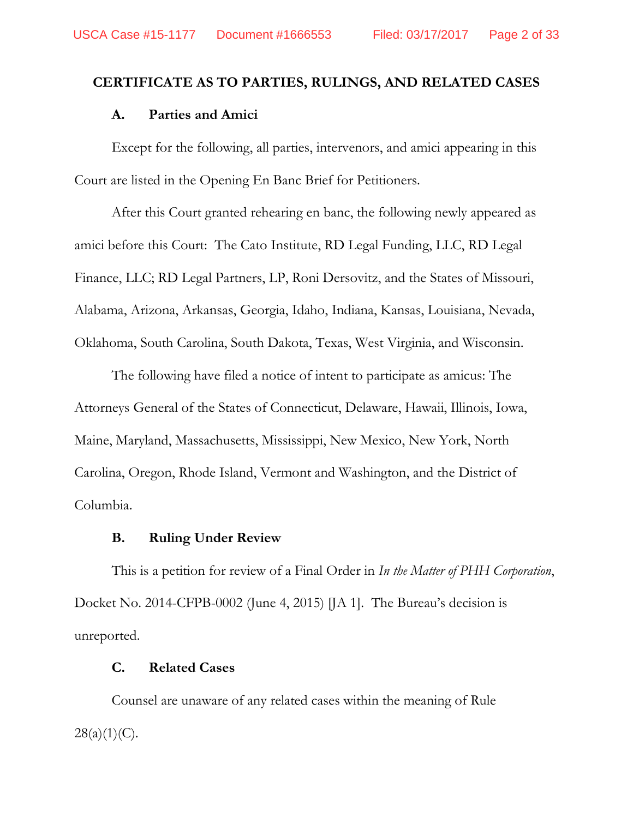#### **CERTIFICATE AS TO PARTIES, RULINGS, AND RELATED CASES**

#### **A. Parties and Amici**

Except for the following, all parties, intervenors, and amici appearing in this Court are listed in the Opening En Banc Brief for Petitioners.

After this Court granted rehearing en banc, the following newly appeared as amici before this Court: The Cato Institute, RD Legal Funding, LLC, RD Legal Finance, LLC; RD Legal Partners, LP, Roni Dersovitz, and the States of Missouri, Alabama, Arizona, Arkansas, Georgia, Idaho, Indiana, Kansas, Louisiana, Nevada, Oklahoma, South Carolina, South Dakota, Texas, West Virginia, and Wisconsin.

The following have filed a notice of intent to participate as amicus: The Attorneys General of the States of Connecticut, Delaware, Hawaii, Illinois, Iowa, Maine, Maryland, Massachusetts, Mississippi, New Mexico, New York, North Carolina, Oregon, Rhode Island, Vermont and Washington, and the District of Columbia.

#### **B. Ruling Under Review**

This is a petition for review of a Final Order in *In the Matter of PHH Corporation*, Docket No. 2014-CFPB-0002 (June 4, 2015) [JA 1]. The Bureau's decision is unreported.

#### **C. Related Cases**

Counsel are unaware of any related cases within the meaning of Rule  $28(a)(1)(C)$ .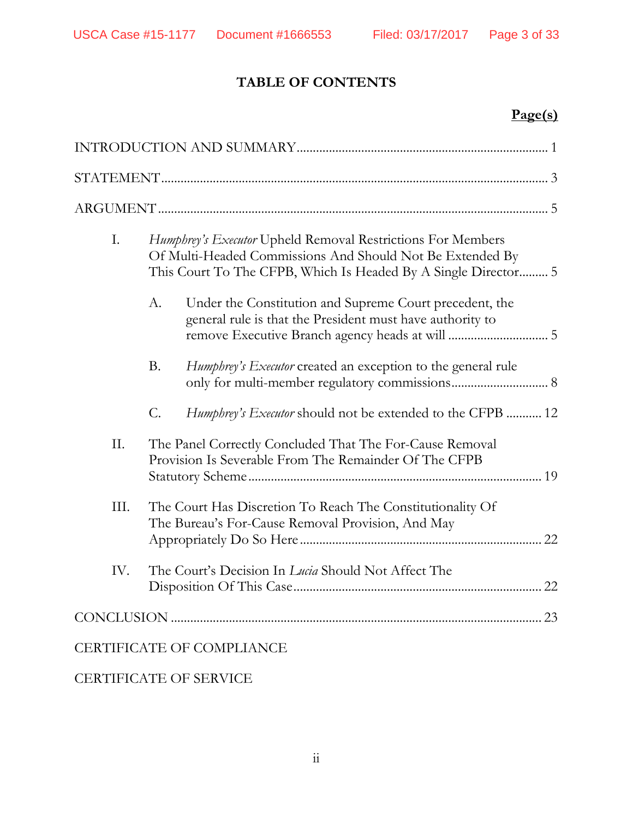## **TABLE OF CONTENTS**

# **Page(s)**

| Ι.<br>Humphrey's Executor Upheld Removal Restrictions For Members<br>Of Multi-Headed Commissions And Should Not Be Extended By<br>This Court To The CFPB, Which Is Headed By A Single Director 5 |  |
|--------------------------------------------------------------------------------------------------------------------------------------------------------------------------------------------------|--|
| Under the Constitution and Supreme Court precedent, the<br>А.<br>general rule is that the President must have authority to                                                                       |  |
| <b>B.</b><br>Humphrey's Executor created an exception to the general rule                                                                                                                        |  |
| $\mathcal{C}$ .<br>Humphrey's Executor should not be extended to the CFPB  12                                                                                                                    |  |
| Π.<br>The Panel Correctly Concluded That The For-Cause Removal<br>Provision Is Severable From The Remainder Of The CFPB                                                                          |  |
| III.<br>The Court Has Discretion To Reach The Constitutionality Of<br>The Bureau's For-Cause Removal Provision, And May                                                                          |  |
| IV.<br>The Court's Decision In Lucia Should Not Affect The                                                                                                                                       |  |
|                                                                                                                                                                                                  |  |
| <b>CERTIFICATE OF COMPLIANCE</b>                                                                                                                                                                 |  |

CERTIFICATE OF SERVICE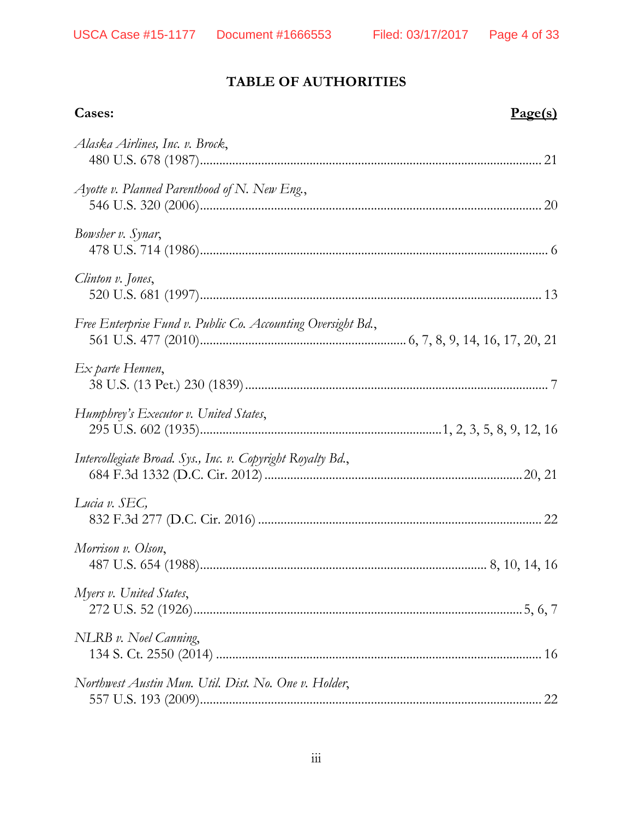## **TABLE OF AUTHORITIES**

| Cases:                                                       | Page(s) |
|--------------------------------------------------------------|---------|
| Alaska Airlines, Inc. v. Brock,                              |         |
| Ayotte v. Planned Parenthood of N. New Eng.,                 |         |
| Bowsher v. Synar,                                            |         |
| Clinton v. Jones,                                            |         |
| Free Enterprise Fund v. Public Co. Accounting Oversight Bd., |         |
| Ex parte Hennen,                                             |         |
| Humphrey's Executor v. United States,                        |         |
| Intercollegiate Broad. Sys., Inc. v. Copyright Royalty Bd.,  |         |
| Lucia v. SEC,                                                |         |
| Morrison v. Olson,                                           |         |
| Myers v. United States,                                      |         |
| NLRB v. Noel Canning,                                        |         |
| Northwest Austin Mun. Util. Dist. No. One v. Holder,         |         |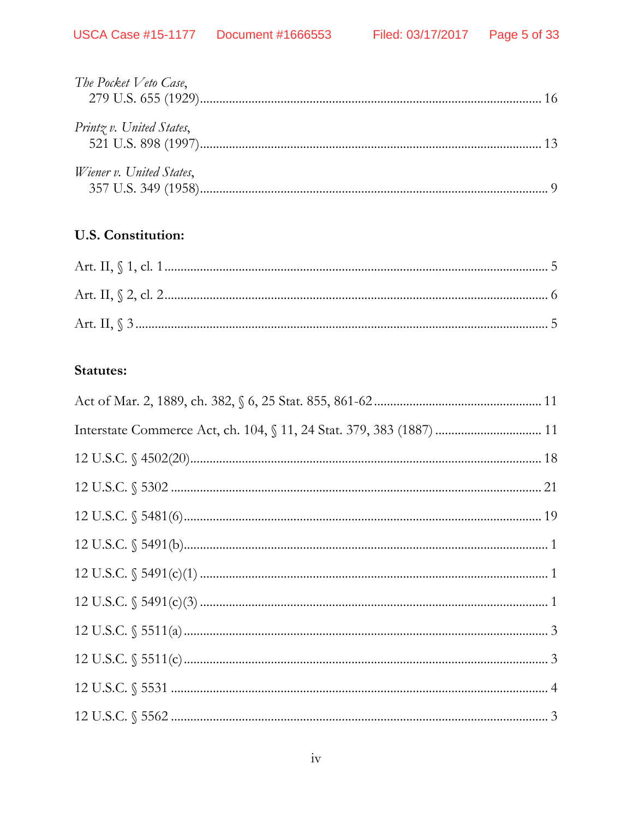| The Pocket Veto Case,    |  |
|--------------------------|--|
| Printz v. United States, |  |
| Wiener v. United States, |  |

# U.S. Constitution:

## **Statutes:**

| Interstate Commerce Act, ch. 104, § 11, 24 Stat. 379, 383 (1887)  11 |  |
|----------------------------------------------------------------------|--|
|                                                                      |  |
|                                                                      |  |
|                                                                      |  |
|                                                                      |  |
|                                                                      |  |
|                                                                      |  |
|                                                                      |  |
|                                                                      |  |
|                                                                      |  |
|                                                                      |  |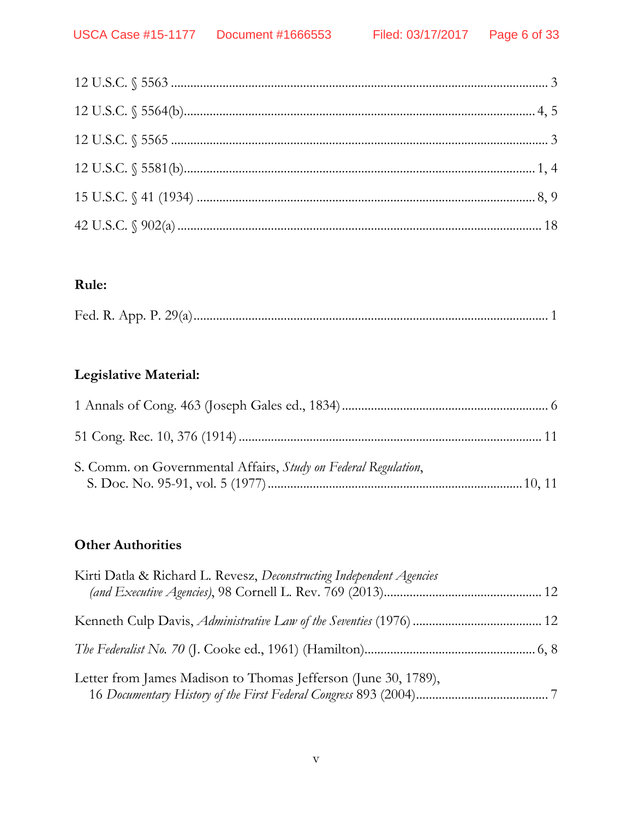## **Rule:**

|--|

## **Legislative Material:**

| S. Comm. on Governmental Affairs, <i>Study on Federal Regulation</i> , |  |
|------------------------------------------------------------------------|--|

## **Other Authorities**

| Kirti Datla & Richard L. Revesz, Deconstructing Independent Agencies |  |
|----------------------------------------------------------------------|--|
|                                                                      |  |
|                                                                      |  |
| Letter from James Madison to Thomas Jefferson (June 30, 1789),       |  |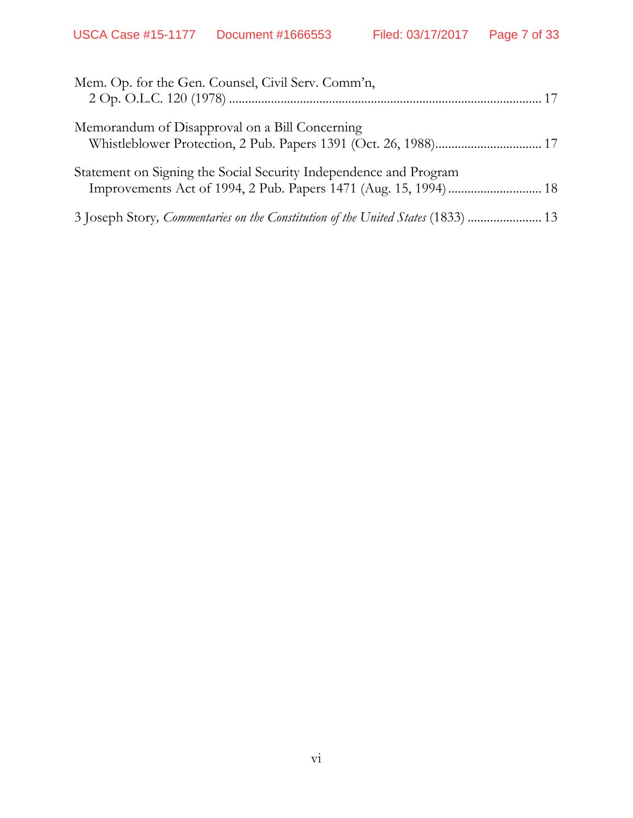| Mem. Op. for the Gen. Counsel, Civil Serv. Comm'n,                |
|-------------------------------------------------------------------|
| Memorandum of Disapproval on a Bill Concerning                    |
| Statement on Signing the Social Security Independence and Program |
|                                                                   |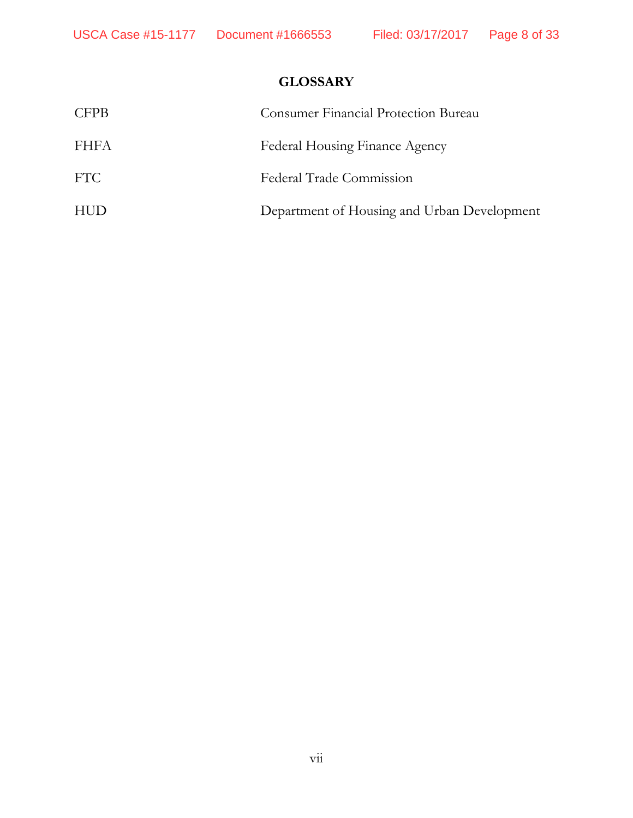## **GLOSSARY**

| <b>CFPB</b> | <b>Consumer Financial Protection Bureau</b> |
|-------------|---------------------------------------------|
| FHFA        | Federal Housing Finance Agency              |
| FTC.        | Federal Trade Commission                    |
| <b>HUD</b>  | Department of Housing and Urban Development |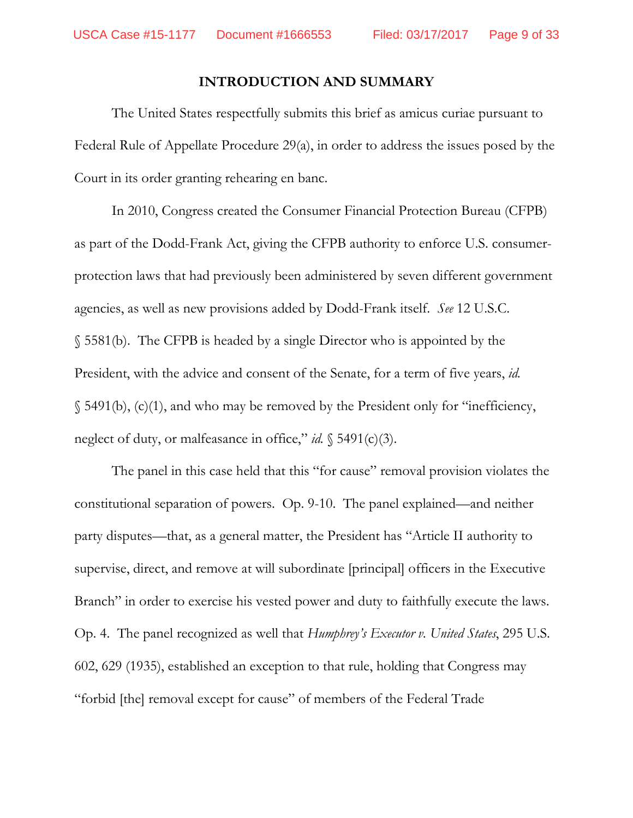#### **INTRODUCTION AND SUMMARY**

<span id="page-8-0"></span>The United States respectfully submits this brief as amicus curiae pursuant to Federal Rule of Appellate Procedure 29(a), in order to address the issues posed by the Court in its order granting rehearing en banc.

In 2010, Congress created the Consumer Financial Protection Bureau (CFPB) as part of the Dodd-Frank Act, giving the CFPB authority to enforce U.S. consumerprotection laws that had previously been administered by seven different government agencies, as well as new provisions added by Dodd-Frank itself. *See* 12 U.S.C. § 5581(b). The CFPB is headed by a single Director who is appointed by the President, with the advice and consent of the Senate, for a term of five years, *id.*  $\S$  5491(b), (c)(1), and who may be removed by the President only for "inefficiency, neglect of duty, or malfeasance in office," *id.* § 5491(c)(3).

The panel in this case held that this "for cause" removal provision violates the constitutional separation of powers. Op. 9-10. The panel explained—and neither party disputes—that, as a general matter, the President has "Article II authority to supervise, direct, and remove at will subordinate [principal] officers in the Executive Branch" in order to exercise his vested power and duty to faithfully execute the laws. Op. 4. The panel recognized as well that *Humphrey's Executor v. United States*, 295 U.S. 602, 629 (1935), established an exception to that rule, holding that Congress may "forbid [the] removal except for cause" of members of the Federal Trade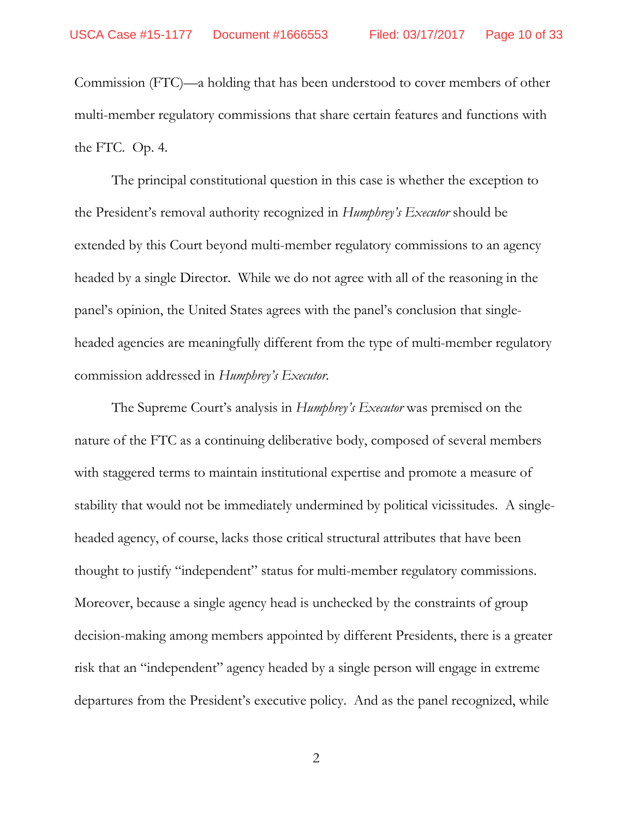Commission (FTC)—a holding that has been understood to cover members of other multi-member regulatory commissions that share certain features and functions with the FTC. Op. 4.

The principal constitutional question in this case is whether the exception to the President's removal authority recognized in *Humphrey's Executor* should be extended by this Court beyond multi-member regulatory commissions to an agency headed by a single Director. While we do not agree with all of the reasoning in the panel's opinion, the United States agrees with the panel's conclusion that singleheaded agencies are meaningfully different from the type of multi-member regulatory commission addressed in *Humphrey's Executor*.

The Supreme Court's analysis in *Humphrey's Executor* was premised on the nature of the FTC as a continuing deliberative body, composed of several members with staggered terms to maintain institutional expertise and promote a measure of stability that would not be immediately undermined by political vicissitudes. A singleheaded agency, of course, lacks those critical structural attributes that have been thought to justify "independent" status for multi-member regulatory commissions. Moreover, because a single agency head is unchecked by the constraints of group decision-making among members appointed by different Presidents, there is a greater risk that an "independent" agency headed by a single person will engage in extreme departures from the President's executive policy. And as the panel recognized, while

2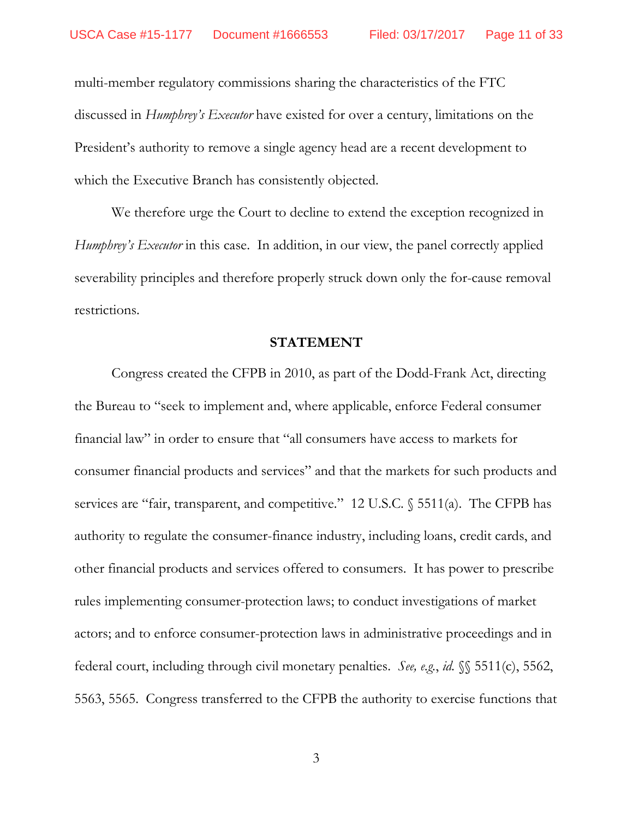multi-member regulatory commissions sharing the characteristics of the FTC discussed in *Humphrey's Executor* have existed for over a century, limitations on the President's authority to remove a single agency head are a recent development to which the Executive Branch has consistently objected.

We therefore urge the Court to decline to extend the exception recognized in *Humphrey's Executor* in this case. In addition, in our view, the panel correctly applied severability principles and therefore properly struck down only the for-cause removal restrictions.

#### **STATEMENT**

<span id="page-10-0"></span>Congress created the CFPB in 2010, as part of the Dodd-Frank Act, directing the Bureau to "seek to implement and, where applicable, enforce Federal consumer financial law" in order to ensure that "all consumers have access to markets for consumer financial products and services" and that the markets for such products and services are "fair, transparent, and competitive." 12 U.S.C. § 5511(a). The CFPB has authority to regulate the consumer-finance industry, including loans, credit cards, and other financial products and services offered to consumers. It has power to prescribe rules implementing consumer-protection laws; to conduct investigations of market actors; and to enforce consumer-protection laws in administrative proceedings and in federal court, including through civil monetary penalties. *See, e.g.*, *id.* §§ 5511(c), 5562, 5563, 5565. Congress transferred to the CFPB the authority to exercise functions that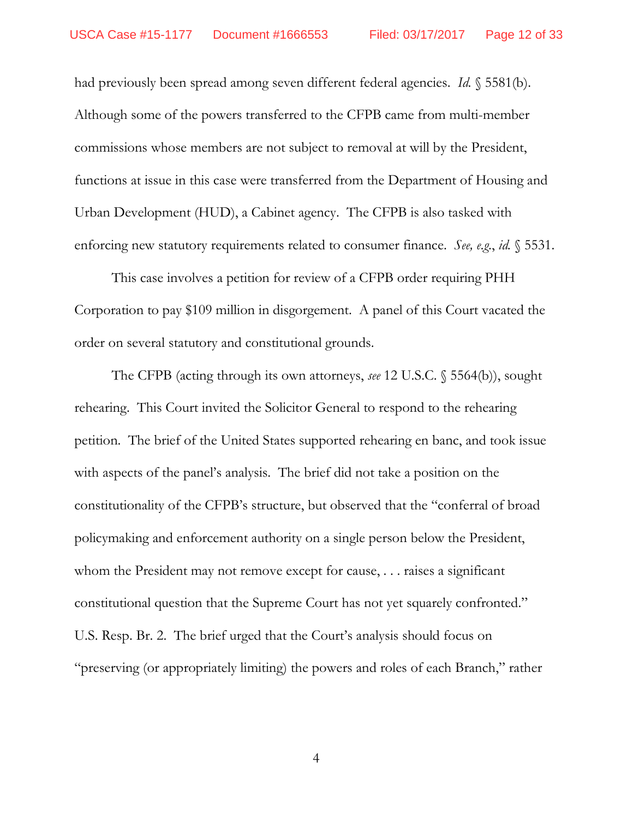had previously been spread among seven different federal agencies. *Id.* § 5581(b). Although some of the powers transferred to the CFPB came from multi-member commissions whose members are not subject to removal at will by the President, functions at issue in this case were transferred from the Department of Housing and Urban Development (HUD), a Cabinet agency. The CFPB is also tasked with enforcing new statutory requirements related to consumer finance. *See, e.g.*, *id.* § 5531.

This case involves a petition for review of a CFPB order requiring PHH Corporation to pay \$109 million in disgorgement. A panel of this Court vacated the order on several statutory and constitutional grounds.

The CFPB (acting through its own attorneys, *see* 12 U.S.C. § 5564(b)), sought rehearing. This Court invited the Solicitor General to respond to the rehearing petition. The brief of the United States supported rehearing en banc, and took issue with aspects of the panel's analysis. The brief did not take a position on the constitutionality of the CFPB's structure, but observed that the "conferral of broad policymaking and enforcement authority on a single person below the President, whom the President may not remove except for cause, . . . raises a significant constitutional question that the Supreme Court has not yet squarely confronted." U.S. Resp. Br. 2. The brief urged that the Court's analysis should focus on "preserving (or appropriately limiting) the powers and roles of each Branch," rather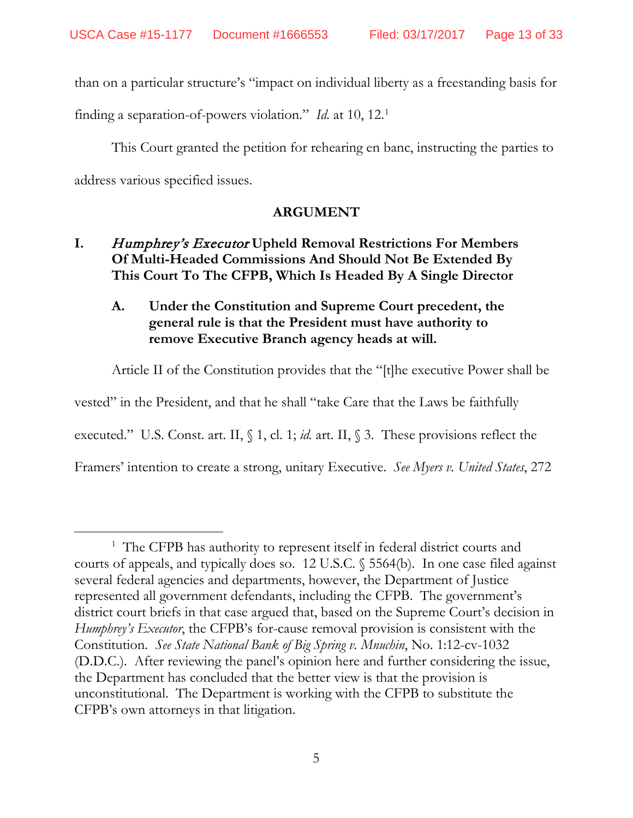than on a particular structure's "impact on individual liberty as a freestanding basis for

finding a separation-of-powers violation." *Id.* at [1](#page-12-3)0, 12.<sup>1</sup>

This Court granted the petition for rehearing en banc, instructing the parties to address various specified issues.

## **ARGUMENT**

## <span id="page-12-1"></span><span id="page-12-0"></span>**I.** Humphrey's Executor **Upheld Removal Restrictions For Members Of Multi-Headed Commissions And Should Not Be Extended By This Court To The CFPB, Which Is Headed By A Single Director**

## <span id="page-12-2"></span>**A. Under the Constitution and Supreme Court precedent, the general rule is that the President must have authority to remove Executive Branch agency heads at will.**

Article II of the Constitution provides that the "[t]he executive Power shall be

vested" in the President, and that he shall "take Care that the Laws be faithfully

executed." U.S. Const. art. II, § 1, cl. 1; *id.* art. II, § 3. These provisions reflect the

Framers' intention to create a strong, unitary Executive. *See Myers v. United States*, 272

<span id="page-12-3"></span><sup>&</sup>lt;sup>1</sup> The CFPB has authority to represent itself in federal district courts and courts of appeals, and typically does so. 12 U.S.C. § 5564(b). In one case filed against several federal agencies and departments, however, the Department of Justice represented all government defendants, including the CFPB. The government's district court briefs in that case argued that, based on the Supreme Court's decision in *Humphrey's Executor*, the CFPB's for-cause removal provision is consistent with the Constitution. *See State National Bank of Big Spring v. Mnuchin*, No. 1:12-cv-1032 (D.D.C.). After reviewing the panel's opinion here and further considering the issue, the Department has concluded that the better view is that the provision is unconstitutional. The Department is working with the CFPB to substitute the CFPB's own attorneys in that litigation.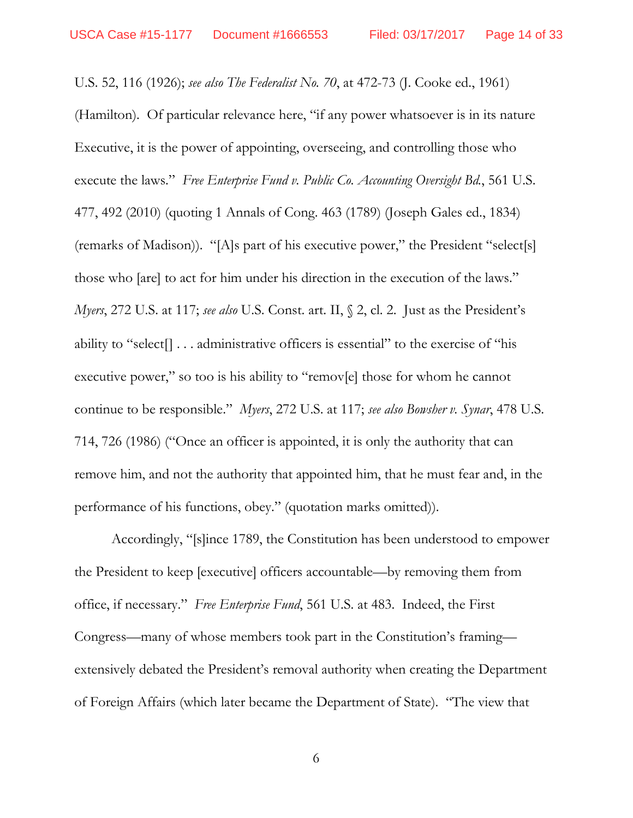U.S. 52, 116 (1926); *see also The Federalist No. 70*, at 472-73 (J. Cooke ed., 1961) (Hamilton). Of particular relevance here, "if any power whatsoever is in its nature Executive, it is the power of appointing, overseeing, and controlling those who execute the laws." *Free Enterprise Fund v. Public Co. Accounting Oversight Bd.*, 561 U.S. 477, 492 (2010) (quoting 1 Annals of Cong. 463 (1789) (Joseph Gales ed., 1834) (remarks of Madison)). "[A]s part of his executive power," the President "select[s] those who [are] to act for him under his direction in the execution of the laws." *Myers*, 272 U.S. at 117; *see also* U.S. Const. art. II, § 2, cl. 2. Just as the President's ability to "select[] . . . administrative officers is essential" to the exercise of "his executive power," so too is his ability to "remov[e] those for whom he cannot continue to be responsible." *Myers*, 272 U.S. at 117; *see also Bowsher v. Synar*, 478 U.S. 714, 726 (1986) ("Once an officer is appointed, it is only the authority that can remove him, and not the authority that appointed him, that he must fear and, in the performance of his functions, obey." (quotation marks omitted)).

Accordingly, "[s]ince 1789, the Constitution has been understood to empower the President to keep [executive] officers accountable—by removing them from office, if necessary." *Free Enterprise Fund*, 561 U.S. at 483. Indeed, the First Congress—many of whose members took part in the Constitution's framing extensively debated the President's removal authority when creating the Department of Foreign Affairs (which later became the Department of State). "The view that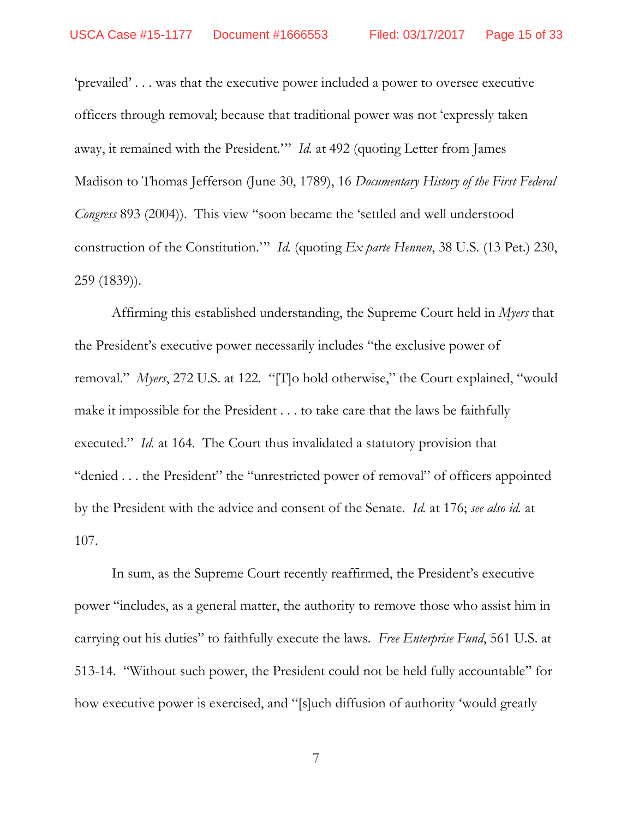'prevailed' . . . was that the executive power included a power to oversee executive officers through removal; because that traditional power was not 'expressly taken away, it remained with the President.'" *Id.* at 492 (quoting Letter from James Madison to Thomas Jefferson (June 30, 1789), 16 *Documentary History of the First Federal Congress* 893 (2004)). This view "soon became the 'settled and well understood construction of the Constitution.'" *Id.* (quoting *Ex parte Hennen*, 38 U.S. (13 Pet.) 230, 259 (1839)).

Affirming this established understanding, the Supreme Court held in *Myers* that the President's executive power necessarily includes "the exclusive power of removal." *Myers*, 272 U.S. at 122. "[T]o hold otherwise," the Court explained, "would make it impossible for the President . . . to take care that the laws be faithfully executed." *Id.* at 164. The Court thus invalidated a statutory provision that "denied . . . the President" the "unrestricted power of removal" of officers appointed by the President with the advice and consent of the Senate. *Id.* at 176; *see also id.* at 107.

In sum, as the Supreme Court recently reaffirmed, the President's executive power "includes, as a general matter, the authority to remove those who assist him in carrying out his duties" to faithfully execute the laws. *Free Enterprise Fund*, 561 U.S. at 513-14. "Without such power, the President could not be held fully accountable" for how executive power is exercised, and "[s]uch diffusion of authority 'would greatly

7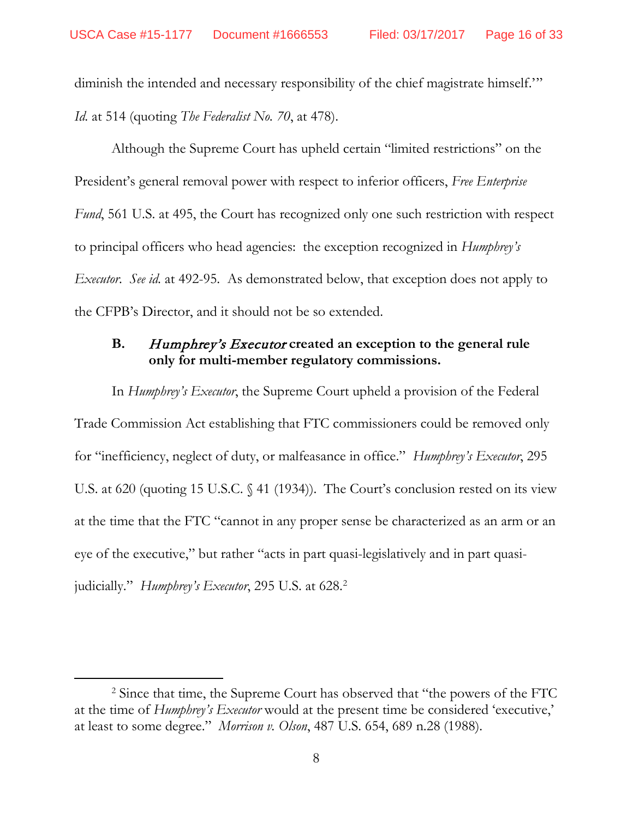diminish the intended and necessary responsibility of the chief magistrate himself.'" *Id.* at 514 (quoting *The Federalist No. 70*, at 478).

Although the Supreme Court has upheld certain "limited restrictions" on the President's general removal power with respect to inferior officers, *Free Enterprise Fund*, 561 U.S. at 495, the Court has recognized only one such restriction with respect to principal officers who head agencies: the exception recognized in *Humphrey's Executor*. *See id.* at 492-95. As demonstrated below, that exception does not apply to the CFPB's Director, and it should not be so extended.

### <span id="page-15-0"></span>**B.** Humphrey's Executor **created an exception to the general rule only for multi-member regulatory commissions.**

In *Humphrey's Executor*, the Supreme Court upheld a provision of the Federal Trade Commission Act establishing that FTC commissioners could be removed only for "inefficiency, neglect of duty, or malfeasance in office." *Humphrey's Executor*, 295 U.S. at 620 (quoting 15 U.S.C. § 41 (1934)). The Court's conclusion rested on its view at the time that the FTC "cannot in any proper sense be characterized as an arm or an eye of the executive," but rather "acts in part quasi-legislatively and in part quasijudicially." *Humphrey's Executor*, [2](#page-15-1)95 U.S. at 628.<sup>2</sup>

<span id="page-15-1"></span><sup>&</sup>lt;sup>2</sup> Since that time, the Supreme Court has observed that "the powers of the FTC at the time of *Humphrey's Executor* would at the present time be considered 'executive,' at least to some degree." *Morrison v. Olson*, 487 U.S. 654, 689 n.28 (1988).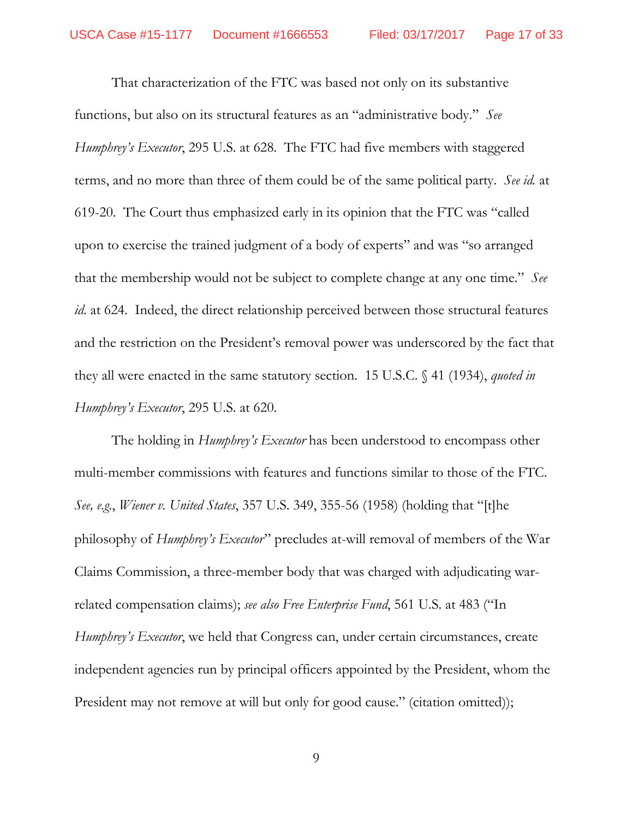That characterization of the FTC was based not only on its substantive functions, but also on its structural features as an "administrative body." *See Humphrey's Executor*, 295 U.S. at 628. The FTC had five members with staggered terms, and no more than three of them could be of the same political party. *See id.* at 619-20. The Court thus emphasized early in its opinion that the FTC was "called upon to exercise the trained judgment of a body of experts" and was "so arranged that the membership would not be subject to complete change at any one time." *See id.* at 624. Indeed, the direct relationship perceived between those structural features and the restriction on the President's removal power was underscored by the fact that they all were enacted in the same statutory section. 15 U.S.C. § 41 (1934), *quoted in Humphrey's Executor*, 295 U.S. at 620.

The holding in *Humphrey's Executor* has been understood to encompass other multi-member commissions with features and functions similar to those of the FTC. *See, e.g.*, *Wiener v. United States*, 357 U.S. 349, 355-56 (1958) (holding that "[t]he philosophy of *Humphrey's Executor*" precludes at-will removal of members of the War Claims Commission, a three-member body that was charged with adjudicating warrelated compensation claims); *see also Free Enterprise Fund*, 561 U.S. at 483 ("In *Humphrey's Executor*, we held that Congress can, under certain circumstances, create independent agencies run by principal officers appointed by the President, whom the President may not remove at will but only for good cause." (citation omitted));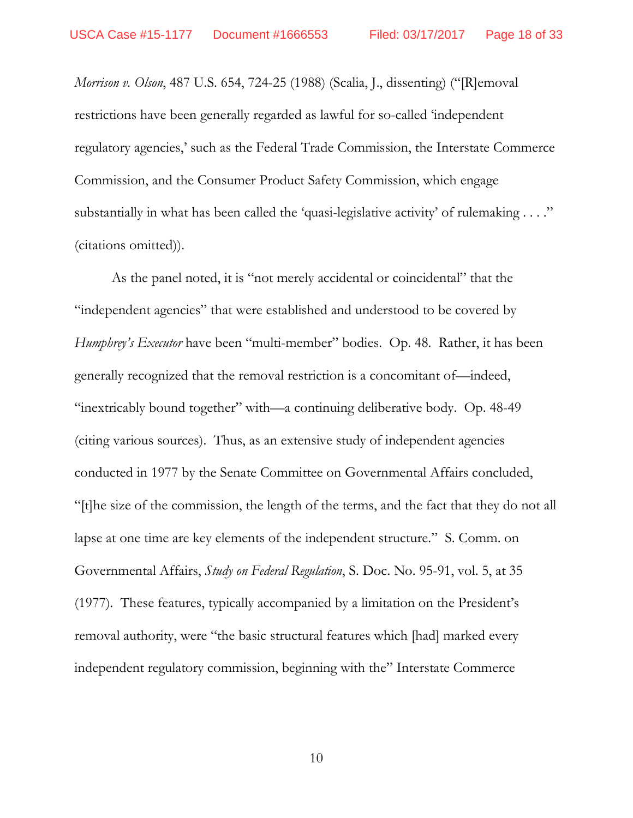*Morrison v. Olson*, 487 U.S. 654, 724-25 (1988) (Scalia, J., dissenting) ("[R]emoval restrictions have been generally regarded as lawful for so-called 'independent regulatory agencies,' such as the Federal Trade Commission, the Interstate Commerce Commission, and the Consumer Product Safety Commission, which engage substantially in what has been called the 'quasi-legislative activity' of rulemaking . . . ." (citations omitted)).

As the panel noted, it is "not merely accidental or coincidental" that the "independent agencies" that were established and understood to be covered by *Humphrey's Executor* have been "multi-member" bodies. Op. 48. Rather, it has been generally recognized that the removal restriction is a concomitant of—indeed, "inextricably bound together" with—a continuing deliberative body. Op. 48-49 (citing various sources). Thus, as an extensive study of independent agencies conducted in 1977 by the Senate Committee on Governmental Affairs concluded, "[t]he size of the commission, the length of the terms, and the fact that they do not all lapse at one time are key elements of the independent structure." S. Comm. on Governmental Affairs, *Study on Federal Regulation*, S. Doc. No. 95-91, vol. 5, at 35 (1977). These features, typically accompanied by a limitation on the President's removal authority, were "the basic structural features which [had] marked every independent regulatory commission, beginning with the" Interstate Commerce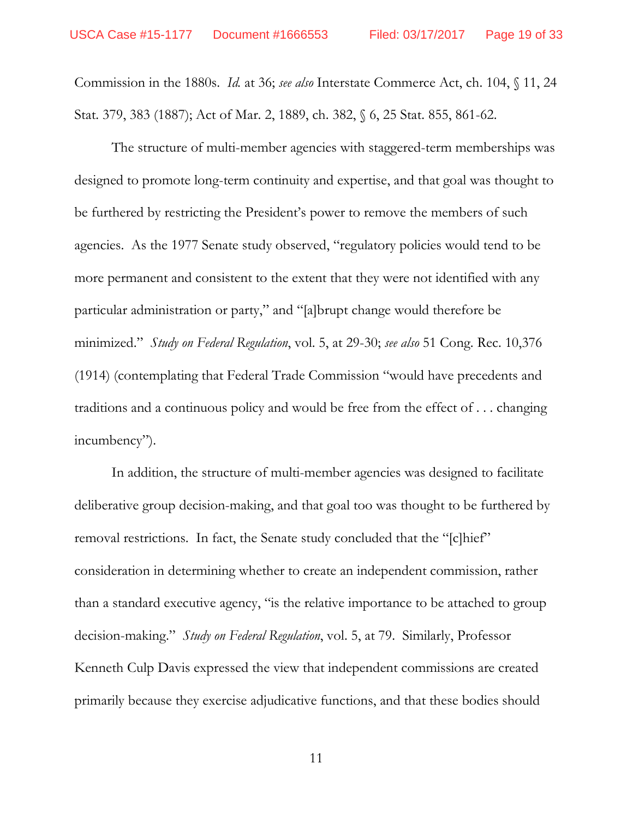Commission in the 1880s. *Id.* at 36; *see also* Interstate Commerce Act, ch. 104, § 11, 24 Stat. 379, 383 (1887); Act of Mar. 2, 1889, ch. 382, § 6, 25 Stat. 855, 861-62.

The structure of multi-member agencies with staggered-term memberships was designed to promote long-term continuity and expertise, and that goal was thought to be furthered by restricting the President's power to remove the members of such agencies. As the 1977 Senate study observed, "regulatory policies would tend to be more permanent and consistent to the extent that they were not identified with any particular administration or party," and "[a]brupt change would therefore be minimized." *Study on Federal Regulation*, vol. 5, at 29-30; *see also* 51 Cong. Rec. 10,376 (1914) (contemplating that Federal Trade Commission "would have precedents and traditions and a continuous policy and would be free from the effect of . . . changing incumbency").

In addition, the structure of multi-member agencies was designed to facilitate deliberative group decision-making, and that goal too was thought to be furthered by removal restrictions. In fact, the Senate study concluded that the "[c]hief" consideration in determining whether to create an independent commission, rather than a standard executive agency, "is the relative importance to be attached to group decision-making." *Study on Federal Regulation*, vol. 5, at 79. Similarly, Professor Kenneth Culp Davis expressed the view that independent commissions are created primarily because they exercise adjudicative functions, and that these bodies should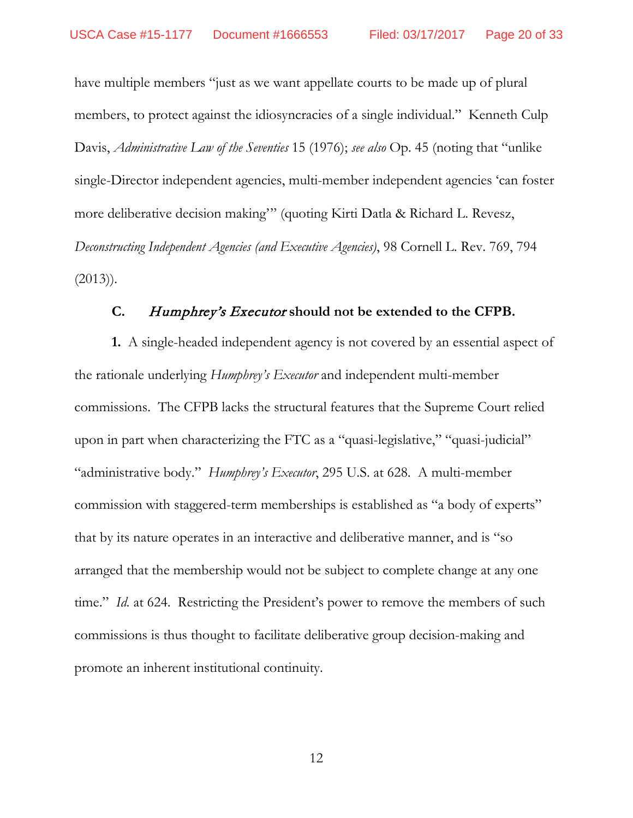have multiple members "just as we want appellate courts to be made up of plural members, to protect against the idiosyncracies of a single individual." Kenneth Culp Davis, *Administrative Law of the Seventies* 15 (1976); *see also* Op. 45 (noting that "unlike single-Director independent agencies, multi-member independent agencies 'can foster more deliberative decision making'" (quoting Kirti Datla & Richard L. Revesz, *Deconstructing Independent Agencies (and Executive Agencies)*, 98 Cornell L. Rev. 769, 794  $(2013)$ ).

### **C.** Humphrey's Executor **should not be extended to the CFPB.**

<span id="page-19-0"></span>**1.** A single-headed independent agency is not covered by an essential aspect of the rationale underlying *Humphrey's Executor* and independent multi-member commissions. The CFPB lacks the structural features that the Supreme Court relied upon in part when characterizing the FTC as a "quasi-legislative," "quasi-judicial" "administrative body." *Humphrey's Executor*, 295 U.S. at 628. A multi-member commission with staggered-term memberships is established as "a body of experts" that by its nature operates in an interactive and deliberative manner, and is "so arranged that the membership would not be subject to complete change at any one time." *Id.* at 624. Restricting the President's power to remove the members of such commissions is thus thought to facilitate deliberative group decision-making and promote an inherent institutional continuity.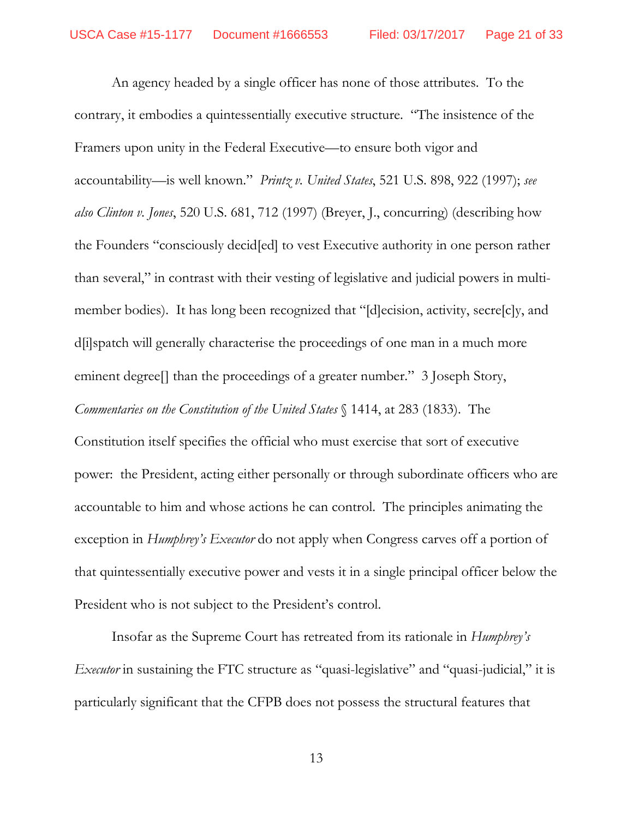An agency headed by a single officer has none of those attributes. To the contrary, it embodies a quintessentially executive structure. "The insistence of the Framers upon unity in the Federal Executive—to ensure both vigor and accountability—is well known." *Printz v. United States*, 521 U.S. 898, 922 (1997); *see also Clinton v. Jones*, 520 U.S. 681, 712 (1997) (Breyer, J., concurring) (describing how the Founders "consciously decid[ed] to vest Executive authority in one person rather than several," in contrast with their vesting of legislative and judicial powers in multimember bodies). It has long been recognized that "[d]ecision, activity, secre[c]y, and d[i]spatch will generally characterise the proceedings of one man in a much more eminent degree<sup>[]</sup> than the proceedings of a greater number." 3 Joseph Story, *Commentaries on the Constitution of the United States* § 1414, at 283 (1833). The

Constitution itself specifies the official who must exercise that sort of executive power: the President, acting either personally or through subordinate officers who are accountable to him and whose actions he can control. The principles animating the exception in *Humphrey's Executor* do not apply when Congress carves off a portion of that quintessentially executive power and vests it in a single principal officer below the President who is not subject to the President's control.

Insofar as the Supreme Court has retreated from its rationale in *Humphrey's Executor* in sustaining the FTC structure as "quasi-legislative" and "quasi-judicial," it is particularly significant that the CFPB does not possess the structural features that

13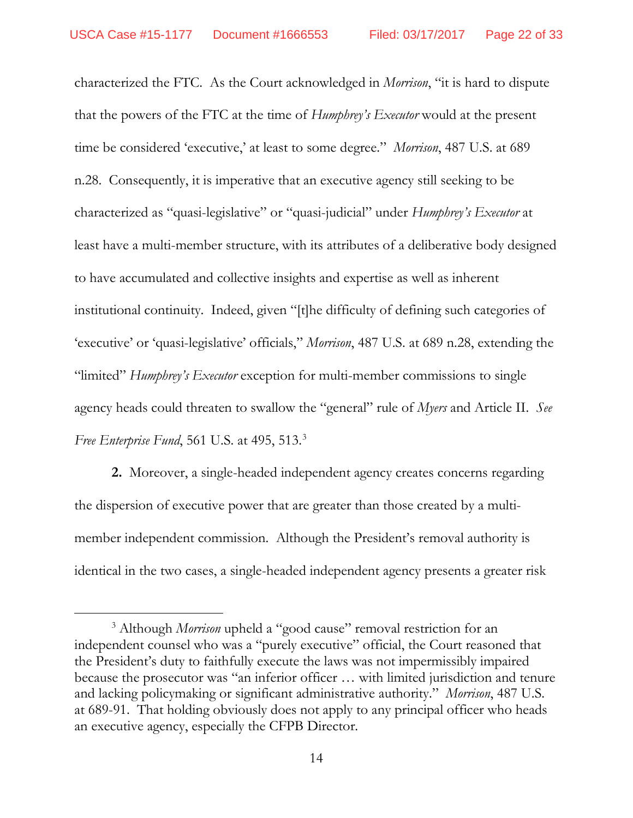characterized the FTC. As the Court acknowledged in *Morrison*, "it is hard to dispute that the powers of the FTC at the time of *Humphrey's Executor* would at the present time be considered 'executive,' at least to some degree." *Morrison*, 487 U.S. at 689 n.28. Consequently, it is imperative that an executive agency still seeking to be characterized as "quasi-legislative" or "quasi-judicial" under *Humphrey's Executor* at least have a multi-member structure, with its attributes of a deliberative body designed to have accumulated and collective insights and expertise as well as inherent institutional continuity. Indeed, given "[t]he difficulty of defining such categories of 'executive' or 'quasi-legislative' officials," *Morrison*, 487 U.S. at 689 n.28, extending the "limited" *Humphrey's Executor* exception for multi-member commissions to single agency heads could threaten to swallow the "general" rule of *Myers* and Article II. *See Free Enterprise Fund*, 561 U.S. at 495, 513.[3](#page-21-0)

**2.** Moreover, a single-headed independent agency creates concerns regarding the dispersion of executive power that are greater than those created by a multimember independent commission. Although the President's removal authority is identical in the two cases, a single-headed independent agency presents a greater risk

<span id="page-21-0"></span><sup>&</sup>lt;sup>3</sup> Although *Morrison* upheld a "good cause" removal restriction for an independent counsel who was a "purely executive" official, the Court reasoned that the President's duty to faithfully execute the laws was not impermissibly impaired because the prosecutor was "an inferior officer … with limited jurisdiction and tenure and lacking policymaking or significant administrative authority." *Morrison*, 487 U.S. at 689-91. That holding obviously does not apply to any principal officer who heads an executive agency, especially the CFPB Director.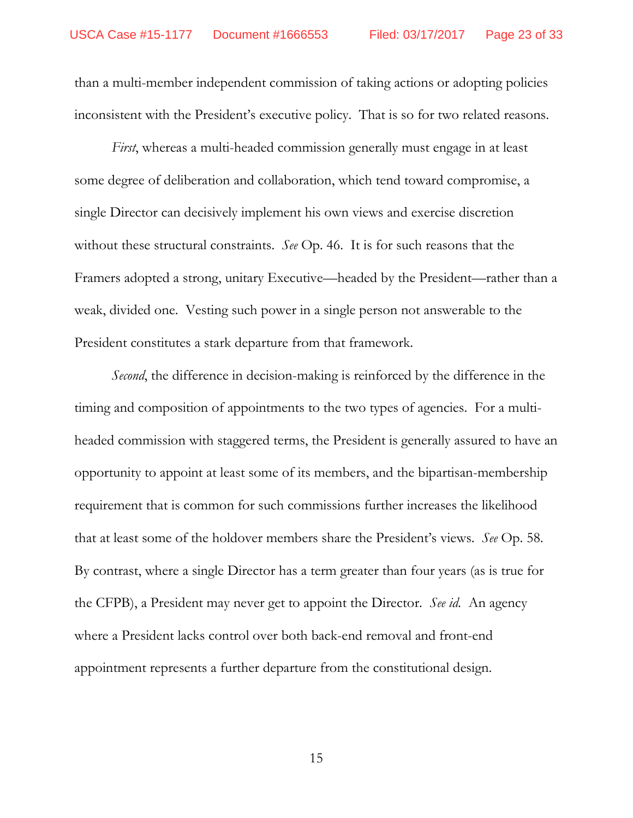than a multi-member independent commission of taking actions or adopting policies inconsistent with the President's executive policy. That is so for two related reasons.

*First*, whereas a multi-headed commission generally must engage in at least some degree of deliberation and collaboration, which tend toward compromise, a single Director can decisively implement his own views and exercise discretion without these structural constraints. *See* Op. 46. It is for such reasons that the Framers adopted a strong, unitary Executive—headed by the President—rather than a weak, divided one. Vesting such power in a single person not answerable to the President constitutes a stark departure from that framework.

*Second*, the difference in decision-making is reinforced by the difference in the timing and composition of appointments to the two types of agencies. For a multiheaded commission with staggered terms, the President is generally assured to have an opportunity to appoint at least some of its members, and the bipartisan-membership requirement that is common for such commissions further increases the likelihood that at least some of the holdover members share the President's views. *See* Op. 58. By contrast, where a single Director has a term greater than four years (as is true for the CFPB), a President may never get to appoint the Director. *See id.* An agency where a President lacks control over both back-end removal and front-end appointment represents a further departure from the constitutional design.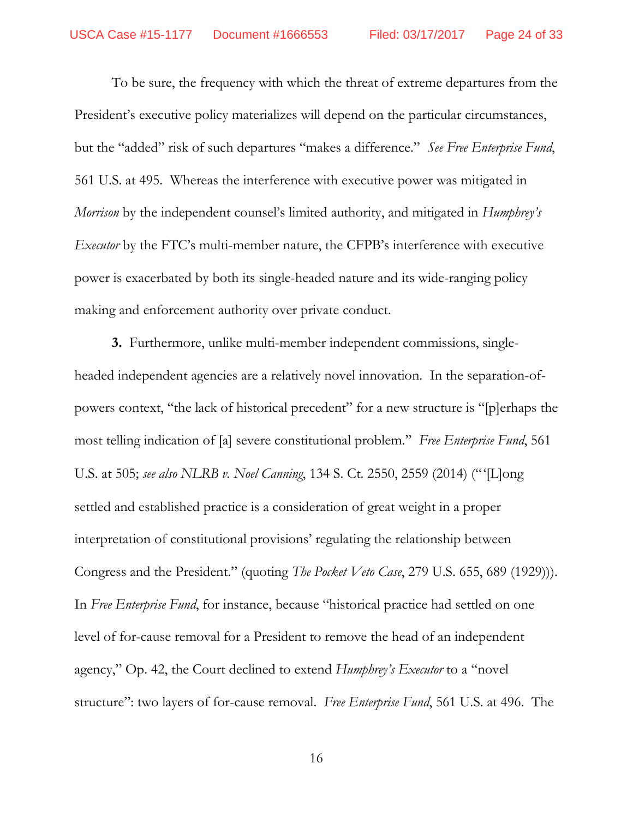To be sure, the frequency with which the threat of extreme departures from the President's executive policy materializes will depend on the particular circumstances, but the "added" risk of such departures "makes a difference." *See Free Enterprise Fund*, 561 U.S. at 495. Whereas the interference with executive power was mitigated in *Morrison* by the independent counsel's limited authority, and mitigated in *Humphrey's Executor* by the FTC's multi-member nature, the CFPB's interference with executive power is exacerbated by both its single-headed nature and its wide-ranging policy making and enforcement authority over private conduct.

**3.** Furthermore, unlike multi-member independent commissions, singleheaded independent agencies are a relatively novel innovation. In the separation-ofpowers context, "the lack of historical precedent" for a new structure is "[p]erhaps the most telling indication of [a] severe constitutional problem." *Free Enterprise Fund*, 561 U.S. at 505; *see also NLRB v. Noel Canning*, 134 S. Ct. 2550, 2559 (2014) ("'[L]ong settled and established practice is a consideration of great weight in a proper interpretation of constitutional provisions' regulating the relationship between Congress and the President." (quoting *The Pocket Veto Case*, 279 U.S. 655, 689 (1929))). In *Free Enterprise Fund*, for instance, because "historical practice had settled on one level of for-cause removal for a President to remove the head of an independent agency," Op. 42, the Court declined to extend *Humphrey's Executor* to a "novel structure": two layers of for-cause removal. *Free Enterprise Fund*, 561 U.S. at 496. The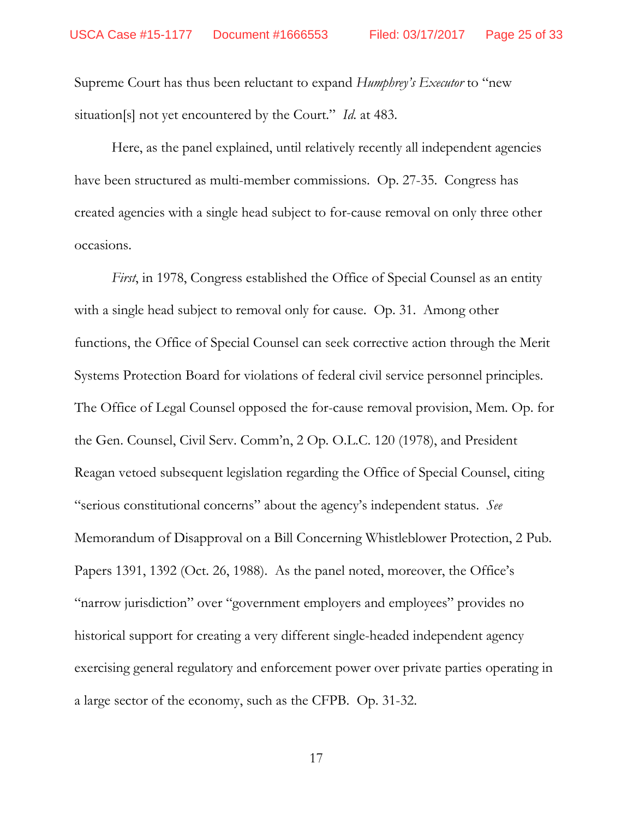Supreme Court has thus been reluctant to expand *Humphrey's Executor* to "new situation[s] not yet encountered by the Court." *Id.* at 483.

Here, as the panel explained, until relatively recently all independent agencies have been structured as multi-member commissions. Op. 27-35. Congress has created agencies with a single head subject to for-cause removal on only three other occasions.

*First*, in 1978, Congress established the Office of Special Counsel as an entity with a single head subject to removal only for cause. Op. 31. Among other functions, the Office of Special Counsel can seek corrective action through the Merit Systems Protection Board for violations of federal civil service personnel principles. The Office of Legal Counsel opposed the for-cause removal provision, Mem. Op. for the Gen. Counsel, Civil Serv. Comm'n, 2 Op. O.L.C. 120 (1978), and President Reagan vetoed subsequent legislation regarding the Office of Special Counsel, citing "serious constitutional concerns" about the agency's independent status. *See*  Memorandum of Disapproval on a Bill Concerning Whistleblower Protection, 2 Pub. Papers 1391, 1392 (Oct. 26, 1988). As the panel noted, moreover, the Office's "narrow jurisdiction" over "government employers and employees" provides no historical support for creating a very different single-headed independent agency exercising general regulatory and enforcement power over private parties operating in a large sector of the economy, such as the CFPB. Op. 31-32.

17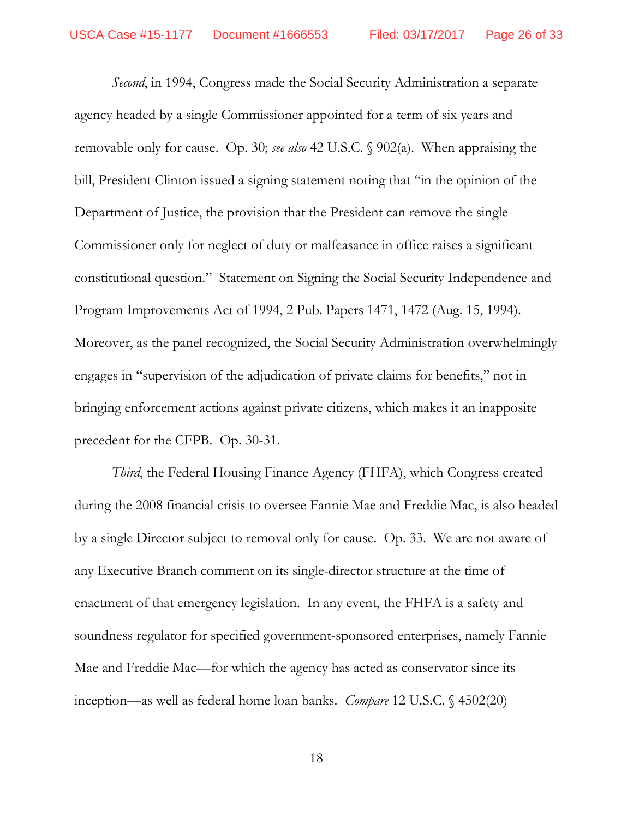*Second*, in 1994, Congress made the Social Security Administration a separate agency headed by a single Commissioner appointed for a term of six years and removable only for cause. Op. 30; *see also* 42 U.S.C. § 902(a). When appraising the bill, President Clinton issued a signing statement noting that "in the opinion of the Department of Justice, the provision that the President can remove the single Commissioner only for neglect of duty or malfeasance in office raises a significant constitutional question." Statement on Signing the Social Security Independence and Program Improvements Act of 1994, 2 Pub. Papers 1471, 1472 (Aug. 15, 1994). Moreover, as the panel recognized, the Social Security Administration overwhelmingly engages in "supervision of the adjudication of private claims for benefits," not in bringing enforcement actions against private citizens, which makes it an inapposite precedent for the CFPB. Op. 30-31.

*Third*, the Federal Housing Finance Agency (FHFA), which Congress created during the 2008 financial crisis to oversee Fannie Mae and Freddie Mac, is also headed by a single Director subject to removal only for cause. Op. 33. We are not aware of any Executive Branch comment on its single-director structure at the time of enactment of that emergency legislation. In any event, the FHFA is a safety and soundness regulator for specified government-sponsored enterprises, namely Fannie Mae and Freddie Mac—for which the agency has acted as conservator since its inception—as well as federal home loan banks. *Compare* 12 U.S.C. § 4502(20)

18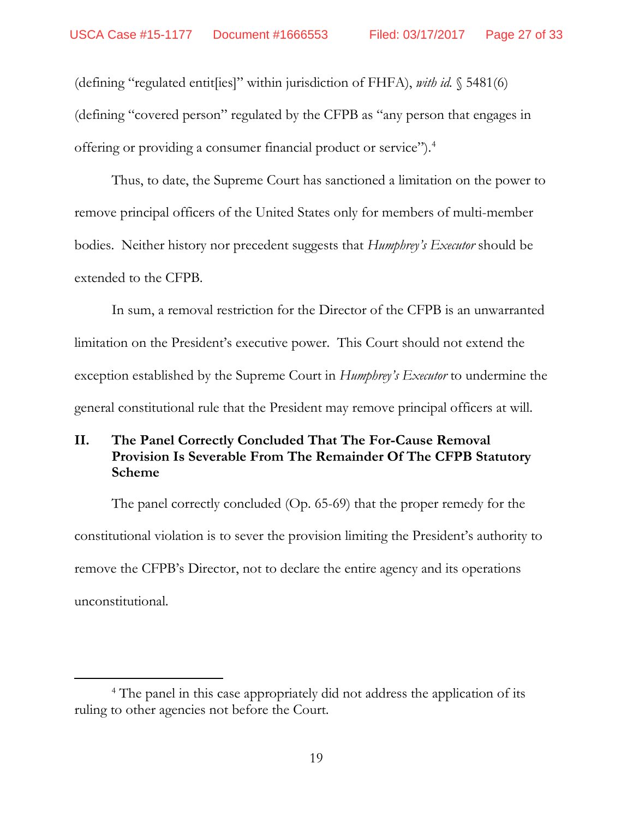(defining "regulated entit[ies]" within jurisdiction of FHFA), *with id.* § 5481(6) (defining "covered person" regulated by the CFPB as "any person that engages in offering or providing a consumer financial product or service").[4](#page-26-1)

Thus, to date, the Supreme Court has sanctioned a limitation on the power to remove principal officers of the United States only for members of multi-member bodies. Neither history nor precedent suggests that *Humphrey's Executor* should be extended to the CFPB.

In sum, a removal restriction for the Director of the CFPB is an unwarranted limitation on the President's executive power. This Court should not extend the exception established by the Supreme Court in *Humphrey's Executor* to undermine the general constitutional rule that the President may remove principal officers at will.

## <span id="page-26-0"></span>**II. The Panel Correctly Concluded That The For-Cause Removal Provision Is Severable From The Remainder Of The CFPB Statutory Scheme**

The panel correctly concluded (Op. 65-69) that the proper remedy for the constitutional violation is to sever the provision limiting the President's authority to remove the CFPB's Director, not to declare the entire agency and its operations unconstitutional.

<span id="page-26-1"></span><sup>&</sup>lt;sup>4</sup> The panel in this case appropriately did not address the application of its ruling to other agencies not before the Court.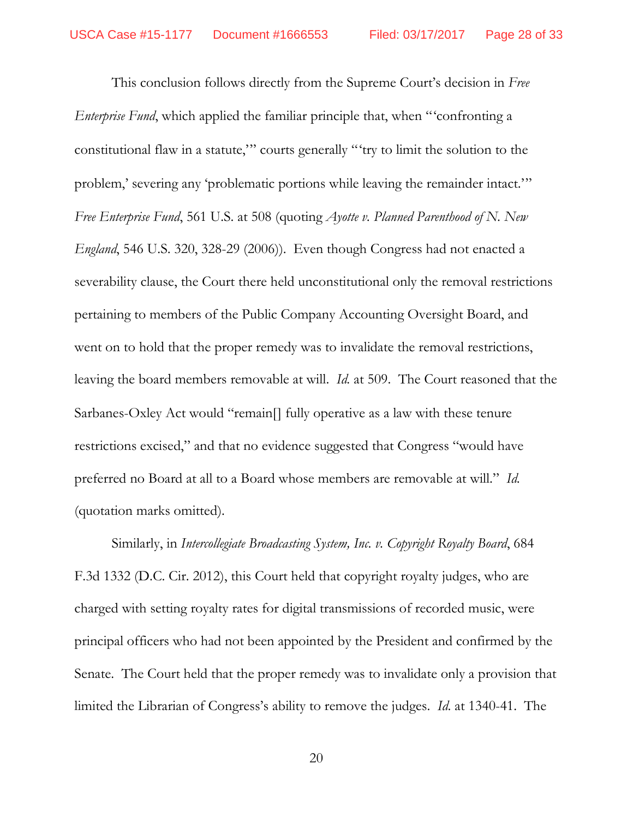This conclusion follows directly from the Supreme Court's decision in *Free Enterprise Fund*, which applied the familiar principle that, when "'confronting a constitutional flaw in a statute,'" courts generally "'try to limit the solution to the problem,' severing any 'problematic portions while leaving the remainder intact.'" *Free Enterprise Fund*, 561 U.S. at 508 (quoting *Ayotte v. Planned Parenthood of N. New England*, 546 U.S. 320, 328-29 (2006)). Even though Congress had not enacted a severability clause, the Court there held unconstitutional only the removal restrictions pertaining to members of the Public Company Accounting Oversight Board, and went on to hold that the proper remedy was to invalidate the removal restrictions, leaving the board members removable at will. *Id.* at 509. The Court reasoned that the Sarbanes-Oxley Act would "remain<sup>[]</sup> fully operative as a law with these tenure restrictions excised," and that no evidence suggested that Congress "would have preferred no Board at all to a Board whose members are removable at will." *Id.* (quotation marks omitted).

Similarly, in *Intercollegiate Broadcasting System, Inc. v. Copyright Royalty Board*, 684 F.3d 1332 (D.C. Cir. 2012), this Court held that copyright royalty judges, who are charged with setting royalty rates for digital transmissions of recorded music, were principal officers who had not been appointed by the President and confirmed by the Senate. The Court held that the proper remedy was to invalidate only a provision that limited the Librarian of Congress's ability to remove the judges. *Id.* at 1340-41. The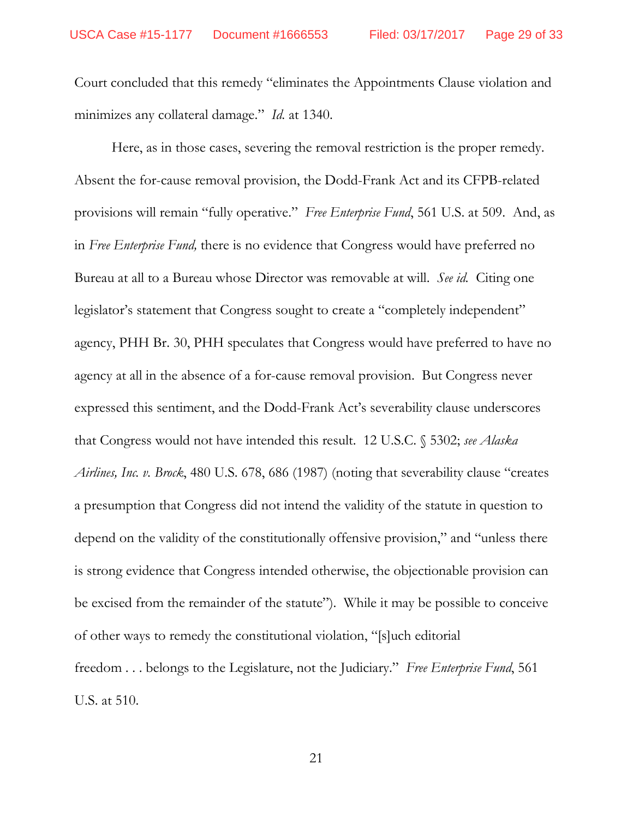Court concluded that this remedy "eliminates the Appointments Clause violation and minimizes any collateral damage." *Id.* at 1340.

Here, as in those cases, severing the removal restriction is the proper remedy. Absent the for-cause removal provision, the Dodd-Frank Act and its CFPB-related provisions will remain "fully operative." *Free Enterprise Fund*, 561 U.S. at 509. And, as in *Free Enterprise Fund,* there is no evidence that Congress would have preferred no Bureau at all to a Bureau whose Director was removable at will. *See id.* Citing one legislator's statement that Congress sought to create a "completely independent" agency, PHH Br. 30, PHH speculates that Congress would have preferred to have no agency at all in the absence of a for-cause removal provision. But Congress never expressed this sentiment, and the Dodd-Frank Act's severability clause underscores that Congress would not have intended this result. 12 U.S.C. § 5302; *see Alaska Airlines, Inc. v. Brock*, 480 U.S. 678, 686 (1987) (noting that severability clause "creates a presumption that Congress did not intend the validity of the statute in question to depend on the validity of the constitutionally offensive provision," and "unless there is strong evidence that Congress intended otherwise, the objectionable provision can be excised from the remainder of the statute"). While it may be possible to conceive of other ways to remedy the constitutional violation, "[s]uch editorial freedom . . . belongs to the Legislature, not the Judiciary." *Free Enterprise Fund*, 561 U.S. at 510.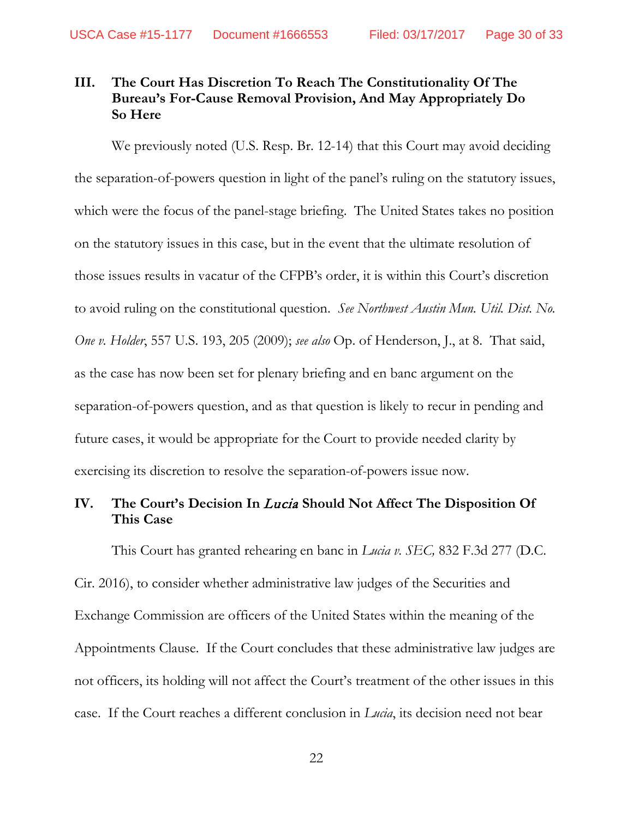## <span id="page-29-0"></span>**III. The Court Has Discretion To Reach The Constitutionality Of The Bureau's For-Cause Removal Provision, And May Appropriately Do So Here**

We previously noted (U.S. Resp. Br. 12-14) that this Court may avoid deciding the separation-of-powers question in light of the panel's ruling on the statutory issues, which were the focus of the panel-stage briefing. The United States takes no position on the statutory issues in this case, but in the event that the ultimate resolution of those issues results in vacatur of the CFPB's order, it is within this Court's discretion to avoid ruling on the constitutional question. *See Northwest Austin Mun. Util. Dist. No. One v. Holder*, 557 U.S. 193, 205 (2009); *see also* Op. of Henderson, J., at 8. That said, as the case has now been set for plenary briefing and en banc argument on the separation-of-powers question, and as that question is likely to recur in pending and future cases, it would be appropriate for the Court to provide needed clarity by exercising its discretion to resolve the separation-of-powers issue now.

### <span id="page-29-1"></span>**IV. The Court's Decision In** Lucia **Should Not Affect The Disposition Of This Case**

This Court has granted rehearing en banc in *Lucia v. SEC,* 832 F.3d 277 (D.C. Cir. 2016), to consider whether administrative law judges of the Securities and Exchange Commission are officers of the United States within the meaning of the Appointments Clause. If the Court concludes that these administrative law judges are not officers, its holding will not affect the Court's treatment of the other issues in this case. If the Court reaches a different conclusion in *Lucia*, its decision need not bear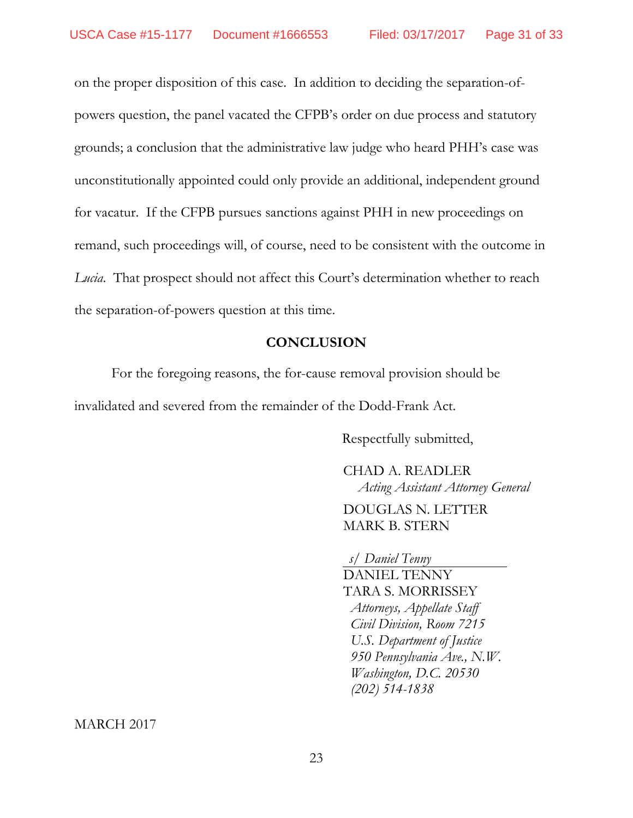on the proper disposition of this case. In addition to deciding the separation-ofpowers question, the panel vacated the CFPB's order on due process and statutory grounds; a conclusion that the administrative law judge who heard PHH's case was unconstitutionally appointed could only provide an additional, independent ground for vacatur. If the CFPB pursues sanctions against PHH in new proceedings on remand, such proceedings will, of course, need to be consistent with the outcome in *Lucia*. That prospect should not affect this Court's determination whether to reach the separation-of-powers question at this time.

#### **CONCLUSION**

<span id="page-30-0"></span>For the foregoing reasons, the for-cause removal provision should be invalidated and severed from the remainder of the Dodd-Frank Act.

Respectfully submitted,

CHAD A. READLER *Acting Assistant Attorney General*

DOUGLAS N. LETTER MARK B. STERN

*s/ Daniel Tenny*

DANIEL TENNY TARA S. MORRISSEY  *Attorneys, Appellate Staff Civil Division, Room 7215 U.S. Department of Justice 950 Pennsylvania Ave., N.W. Washington, D.C. 20530 (202) 514-1838*

MARCH 2017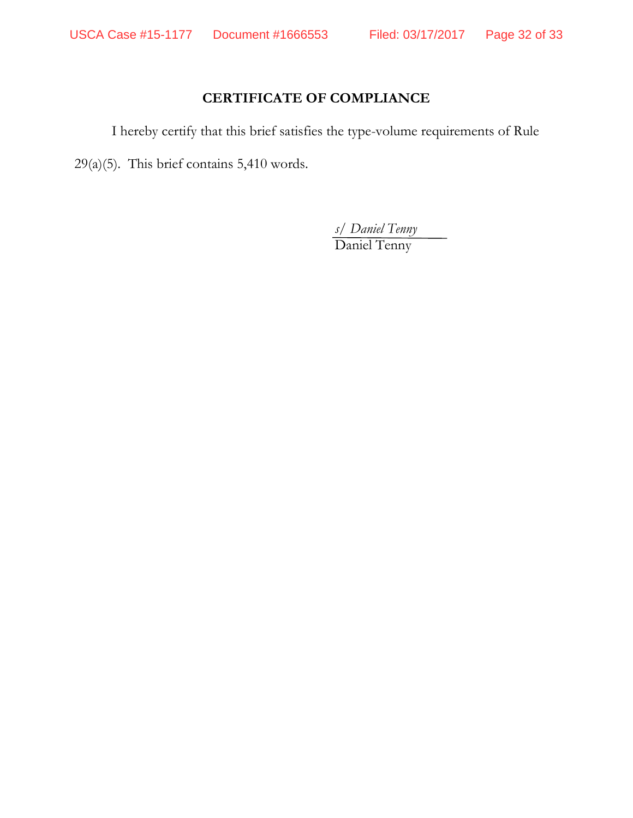## **CERTIFICATE OF COMPLIANCE**

I hereby certify that this brief satisfies the type-volume requirements of Rule

29(a)(5). This brief contains 5,410 words.

*s/ Daniel Tenny* Daniel Tenny